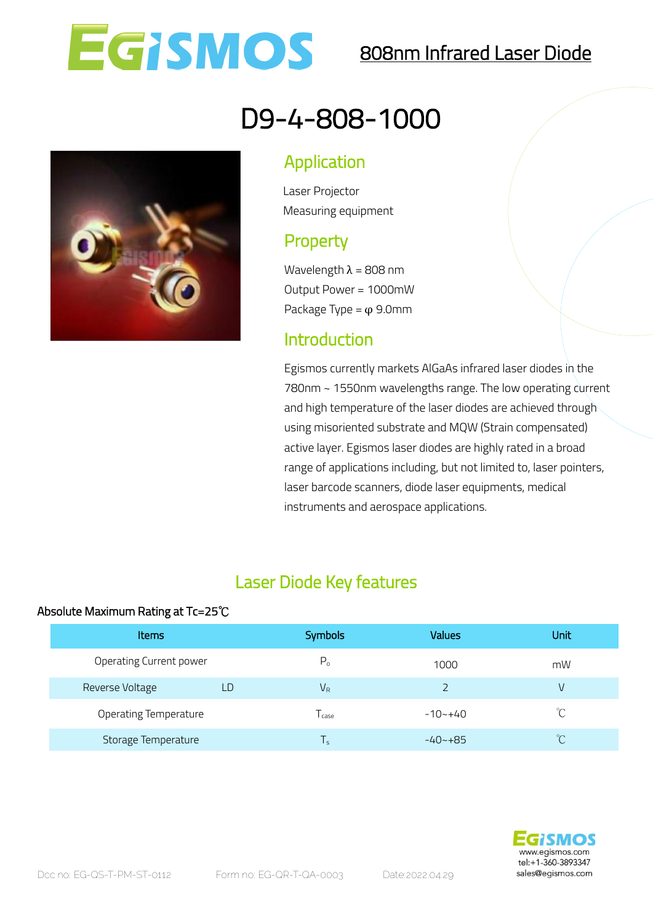

## 808nm Infrared Laser Diode

# D9-4-808-1000

#### Application

Laser Projector Measuring equipment

### **Property**

Wavelength  $\lambda = 808$  nm Output Power = 1000mW Package Type =  $\varphi$  9.0mm

#### Introduction

 Egismos currently markets AlGaAs infrared laser diodes in the and high temperature of the laser diodes are achieved through active layer. Egismos laser diodes are highly rated in a broad laser barcode scanners, diode laser equipments, medical 780nm ~ 1550nm wavelengths range. The low operating current using misoriented substrate and MQW (Strain compensated) range of applications including, but not limited to, laser pointers, instruments and aerospace applications.

#### Laser Diode Key features

#### Absolute Maximum Rating at Tc=25℃

| <b>Items</b>            | <b>Symbols</b>    | Values      | Unit         |
|-------------------------|-------------------|-------------|--------------|
| Operating Current power | P <sub>o</sub>    | 1000        | mW           |
| Reverse Voltage<br>LD   | $V_R$             |             | V            |
| Operating Temperature   | l <sub>case</sub> | $-10 - +40$ | °C           |
| Storage Temperature     | T,                | $-40 - +85$ | $^{\circ}$ C |